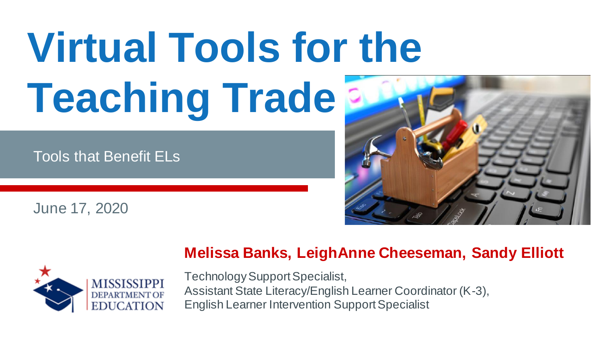# **Virtual Tools for the Teaching Trade**

Tools that Benefit ELs

June 17, 2020





#### **Melissa Banks, LeighAnne Cheeseman, Sandy Elliott**

Technology Support Specialist, Assistant State Literacy/English Learner Coordinator (K-3), English Learner Intervention Support Specialist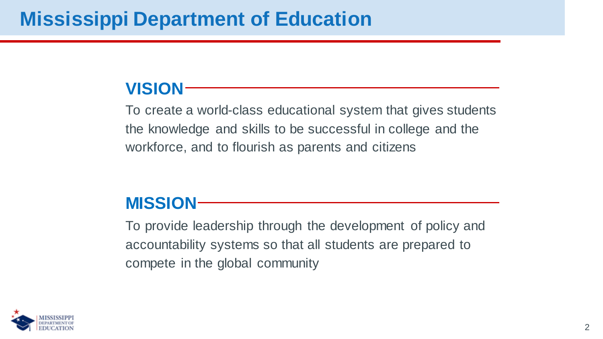### **VISION**

To create a world-class educational system that gives students the knowledge and skills to be successful in college and the workforce, and to flourish as parents and citizens

### **MISSION**

To provide leadership through the development of policy and accountability systems so that all students are prepared to compete in the global community

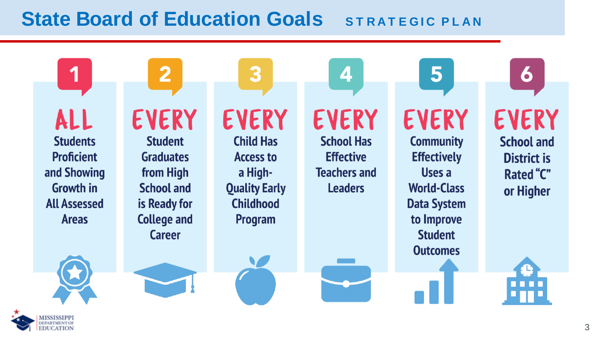### **State Board of Education Goals** STRATEGIC PLAN

ALL

1

**Students Proficient** and Showing **Growth in All Assessed Areas** 

**EVERY Student Graduates** from High **School and** is Ready for **College and Career** 

 $\overline{2}$ 

**EVERY** 

3

**Child Has Access to** a High-**Quality Early Childhood** Program

**EVERY School Has Effective Teachers and Leaders** 

4

**EVERY Community Effectively** Uses a **World-Class Data System** to Improve **Student Outcomes** 

5

**EVERY School and** 

**6**

**District is Rated "C"** or Higher



ISSISSIPPI EDUCATION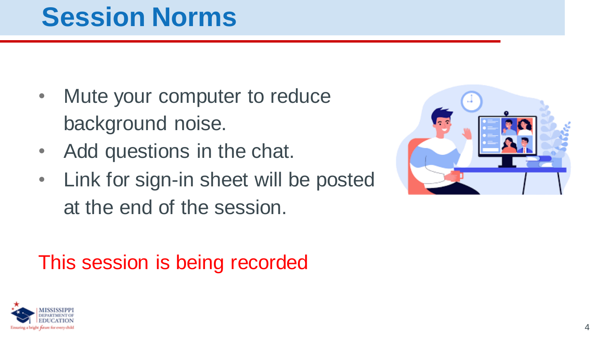# **Session Norms**

- Mute your computer to reduce background noise.
- Add questions in the chat.
- Link for sign-in sheet will be posted at the end of the session.

## This session is being recorded



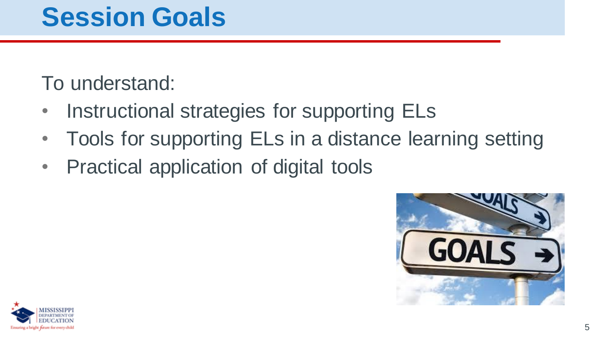# **Session Goals**

## To understand:

- Instructional strategies for supporting ELs
- Tools for supporting ELs in a distance learning setting
- Practical application of digital tools



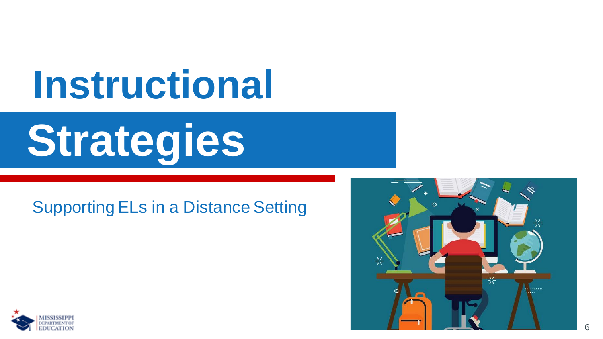# **Instructional**

# **Strategies**

### Supporting ELs in a Distance Setting



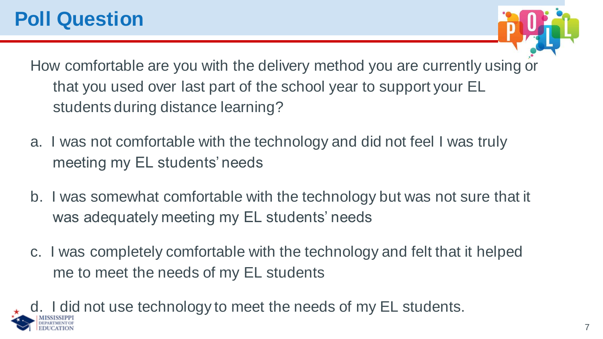

How comfortable are you with the delivery method you are currently using or that you used over last part of the school year to support your EL students during distance learning?

- a. I was not comfortable with the technology and did not feel I was truly meeting my EL students' needs
- b. I was somewhat comfortable with the technology but was not sure that it was adequately meeting my EL students' needs
- c. I was completely comfortable with the technology and felt that it helped me to meet the needs of my EL students

I did not use technology to meet the needs of my EL students.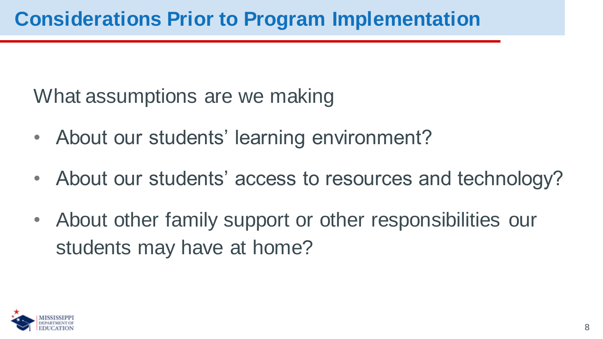What assumptions are we making

- About our students' learning environment?
- About our students' access to resources and technology?
- About other family support or other responsibilities our students may have at home?

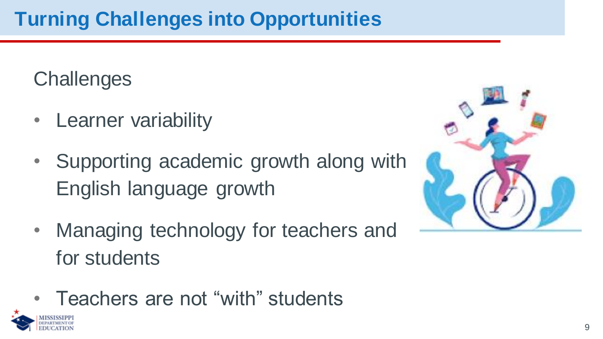**Challenges** 

- Learner variability
- Supporting academic growth along with English language growth
- Managing technology for teachers and for students
- Teachers are not "with" students



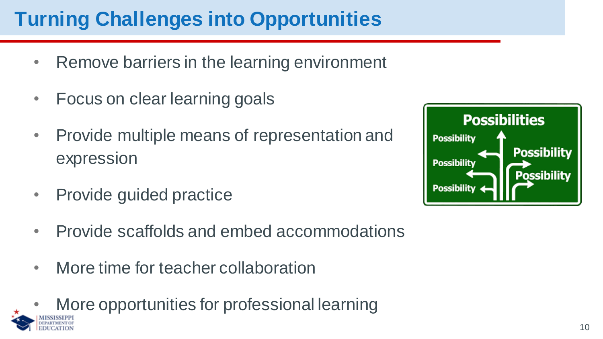## **Turning Challenges into Opportunities**

- Remove barriers in the learning environment
- Focus on clear learning goals
- Provide multiple means of representation and expression
- Provide guided practice
- Provide scaffolds and embed accommodations
- More time for teacher collaboration
- More opportunities for professional learning

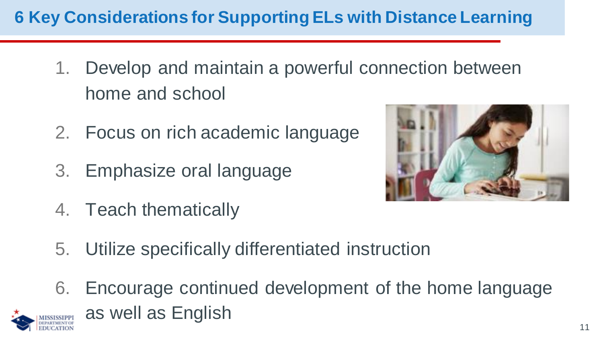### **6 Key Considerations for Supporting ELs with Distance Learning**

- 1. Develop and maintain a powerful connection between home and school
- 2. Focus on rich academic language
- 3. Emphasize oral language
- 4. Teach thematically



- 5. Utilize specifically differentiated instruction
- 6. Encourage continued development of the home language as well as English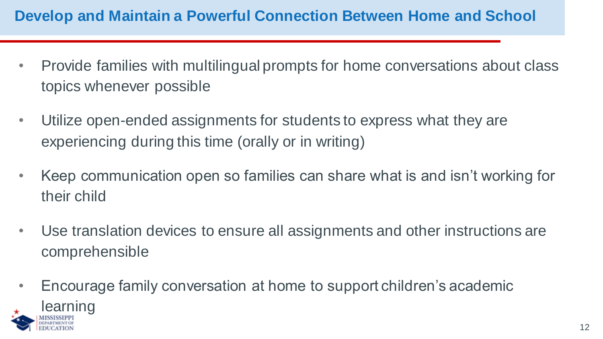#### **Develop and Maintain a Powerful Connection Between Home and School**

- Provide families with multilingual prompts for home conversations about class topics whenever possible
- Utilize open-ended assignments for students to express what they are experiencing during this time (orally or in writing)
- Keep communication open so families can share what is and isn't working for their child
- Use translation devices to ensure all assignments and other instructions are comprehensible
- Encourage family conversation at home to support children's academic learning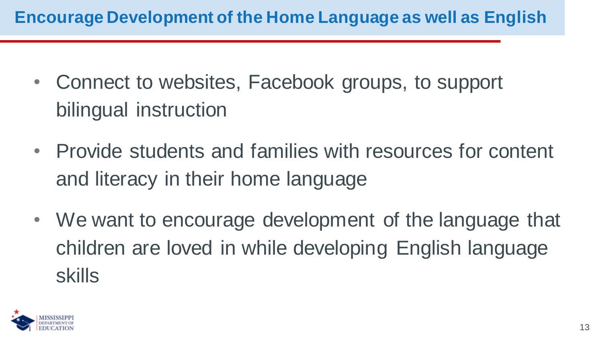### **Encourage Development of the Home Language as well as English**

- Connect to websites, Facebook groups, to support bilingual instruction
- Provide students and families with resources for content and literacy in their home language
- We want to encourage development of the language that children are loved in while developing English language skills

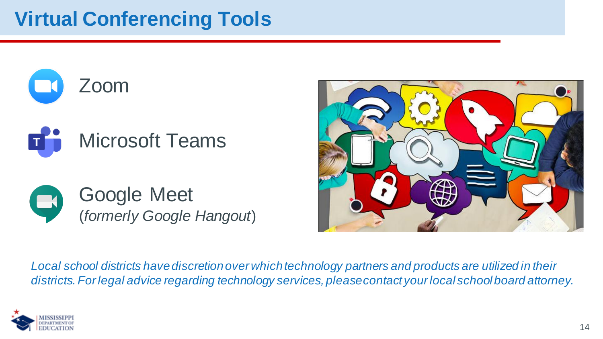







*Local school districts have discretion over which technology partners and products are utilized in their districts. For legal advice regarding technology services, pleasecontact your local school board attorney.*

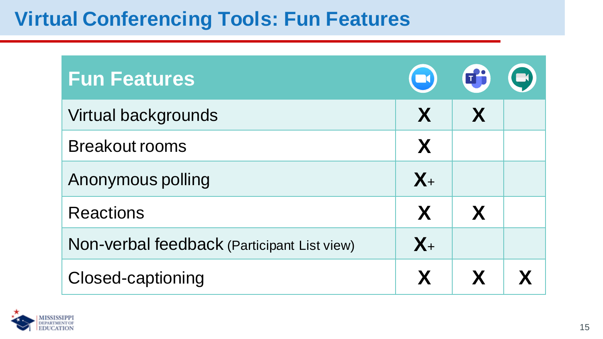### **Virtual Conferencing Tools: Fun Features**

| <b>Fun Features</b>                         | $\left( \blacksquare \right)$ | 的 | $\blacksquare$ |
|---------------------------------------------|-------------------------------|---|----------------|
| Virtual backgrounds                         | X                             | X |                |
| <b>Breakout rooms</b>                       | X                             |   |                |
| Anonymous polling                           | $X_{+}$                       |   |                |
| <b>Reactions</b>                            | X                             | X |                |
| Non-verbal feedback (Participant List view) | $X_{+}$                       |   |                |
| Closed-captioning                           | X                             | X |                |

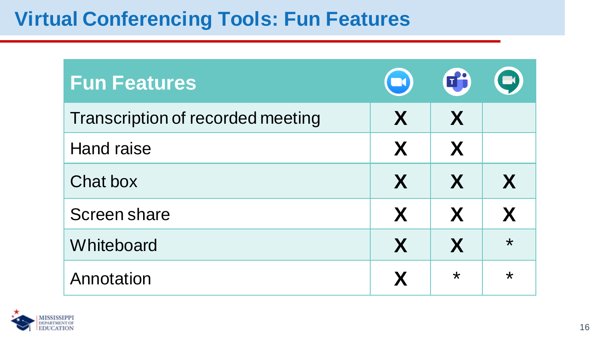### **Virtual Conferencing Tools: Fun Features**

| <b>Fun Features</b>               | $\left( \blacksquare \right)$ | 田       | $\blacksquare$ |
|-----------------------------------|-------------------------------|---------|----------------|
| Transcription of recorded meeting | X                             | X       |                |
| <b>Hand raise</b>                 | X                             | X       |                |
| Chat box                          | X                             | X       | X              |
| Screen share                      | X                             | X       | X              |
| Whiteboard                        | X                             | X       | $\star$        |
| Annotation                        | X                             | $\star$ | $\star$        |

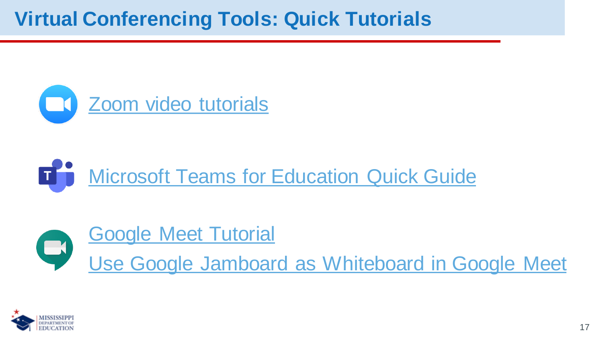### **Virtual Conferencing Tools: Quick Tutorials**



#### **[Microsoft Teams for Education Quick Guide](https://support.zoom.us/hc/en-us/articles/206618765-Zoom-Video-Tutorials?_ga=2.30004287.1613617121.1592233058-1102478718.1584371003) TH**



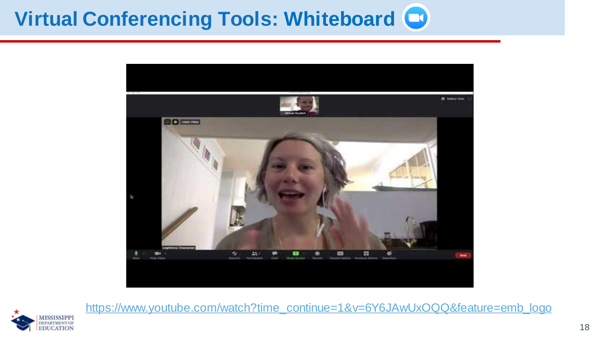# **Virtual Conferencing Tools: Whiteboard**





[https://www.youtube.com/watch?time\\_continue=1&v=6Y6JAwUxOQQ&feature=emb\\_logo](https://www.youtube.com/watch?time_continue=1&v=6Y6JAwUxOQQ&feature=emb_logo)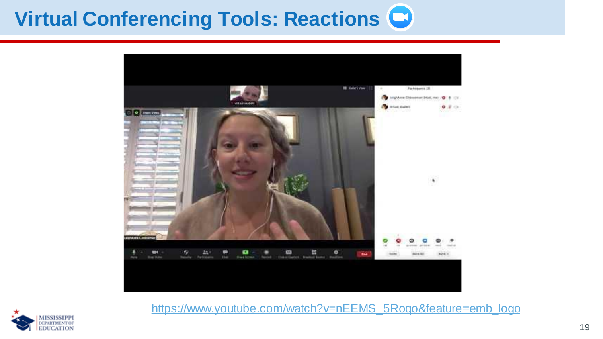## **Virtual Conferencing Tools: Reactions**





[https://www.youtube.com/watch?v=nEEMS\\_5Roqo&feature=emb\\_logo](https://www.youtube.com/watch?v=nEEMS_5Roqo&feature=emb_logo)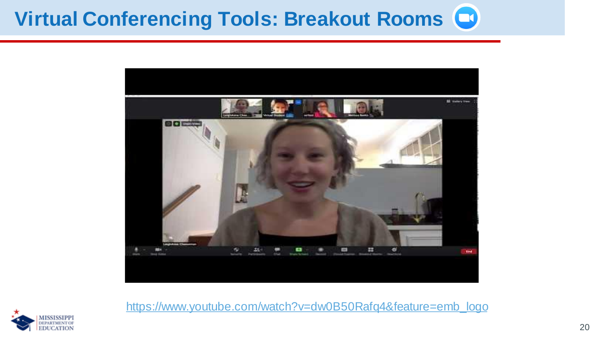# **Virtual Conferencing Tools: Breakout Rooms**



[https://www.youtube.com/watch?v=dw0B50Rafq4&feature=emb\\_logo](https://www.youtube.com/watch?v=dw0B50Rafq4&feature=emb_logo)

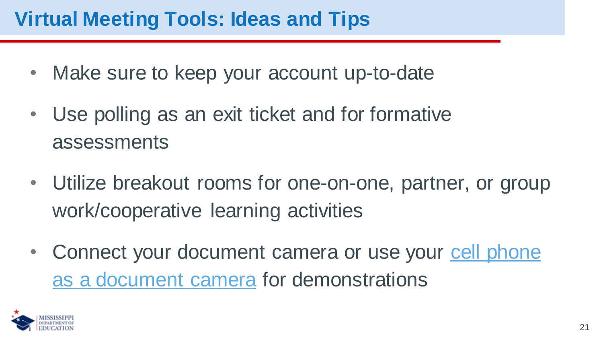### **Virtual Meeting Tools: Ideas and Tips**

- Make sure to keep your account up-to-date
- Use polling as an exit ticket and for formative assessments
- Utilize breakout rooms for one-on-one, partner, or group work/cooperative learning activities
- Connect your document camera or use your cell phone as a document camera for demonstrations

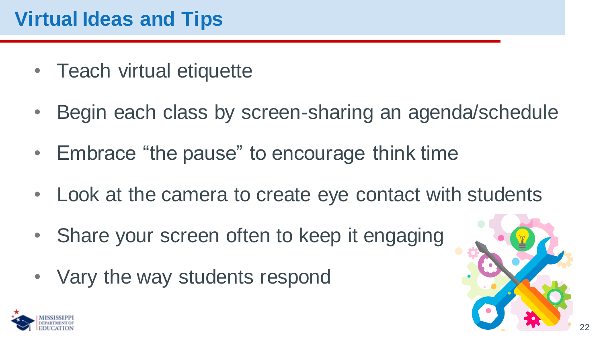### **Virtual Ideas and Tips**

- Teach virtual etiquette
- Begin each class by screen-sharing an agenda/schedule
- Embrace "the pause" to encourage think time
- Look at the camera to create eye contact with students
- Share your screen often to keep it engaging
- Vary the way students respond



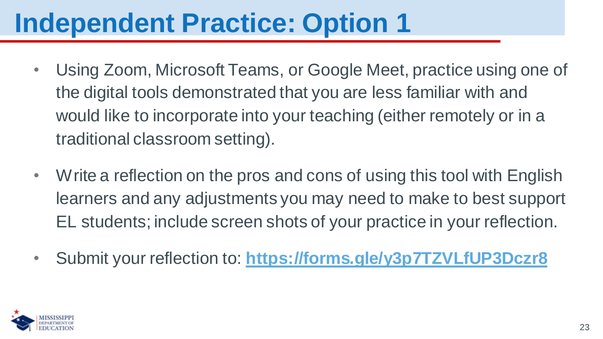# **Independent Practice: Option 1**

- Using Zoom, Microsoft Teams, or Google Meet, practice using one of the digital tools demonstrated that you are less familiar with and would like to incorporate into your teaching (either remotely or in a traditional classroom setting).
- Write a reflection on the pros and cons of using this tool with English learners and any adjustments you may need to make to best support EL students; include screen shots of your practice in your reflection.
- Submit your reflection to: **<https://forms.gle/y3p7TZVLfUP3Dczr8>**

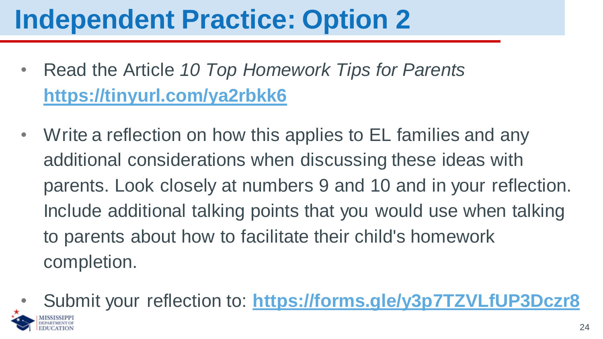# **Independent Practice: Option 2**

- Read the Article *10 Top Homework Tips for Parents* **<https://tinyurl.com/ya2rbkk6>**
- Write a reflection on how this applies to EL families and any additional considerations when discussing these ideas with parents. Look closely at numbers 9 and 10 and in your reflection. Include additional talking points that you would use when talking to parents about how to facilitate their child's homework completion.
- Submit your reflection to: **<https://forms.gle/y3p7TZVLfUP3Dczr8>**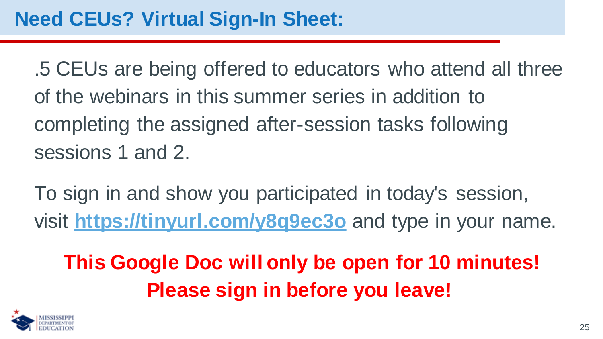.5 CEUs are being offered to educators who attend all three of the webinars in this summer series in addition to completing the assigned after-session tasks following sessions 1 and 2.

To sign in and show you participated in today's session, visit **<https://tinyurl.com/y8q9ec3o>** and type in your name.

**This Google Doc will only be open for 10 minutes! Please sign in before you leave!**

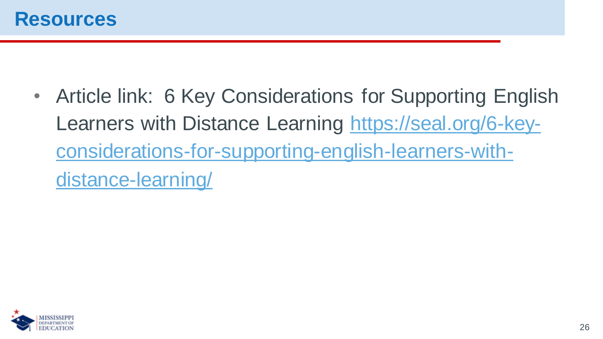• Article link: 6 Key Considerations for Supporting English Learners with Distance Learning https://seal.org/6-key[considerations-for-supporting-english-learners-with](https://seal.org/6-key-considerations-for-supporting-english-learners-with-distance-learning/)distance-learning/

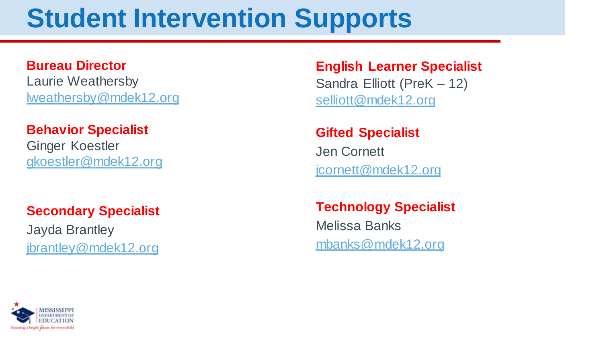# **Student Intervention Supports**

#### **Bureau Director**

Laurie Weathersby [lweathersby@mdek12.org](mailto:lweathersby@mdek12.org)

#### **Behavior Specialist**

Ginger Koestler [gkoestler@mdek12.org](mailto:gkoestler@mdek12.org)

#### **Secondary Specialist**

Jayda Brantley [jbrantley@mdek12.org](mailto:jbrantley@mdek12.org) **English Learner Specialist** Sandra Elliott (PreK – 12) [selliott@mdek12.org](mailto:selliott@mdek12.org)

#### **Gifted Specialist**

Jen Cornett [jcornett@mdek12.org](mailto:jcornett@mdek12.org)

### **Technology Specialist**

Melissa Banks [mbanks@mdek12.org](mailto:mbanks@mdek12.org)

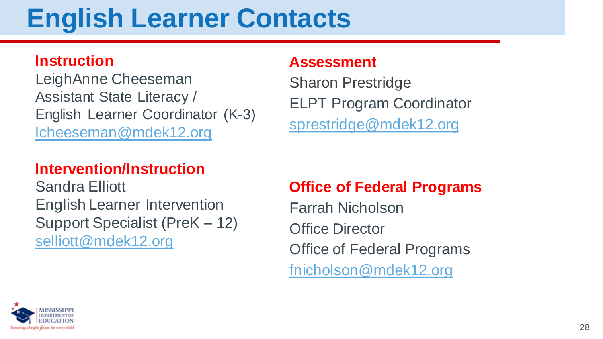# **English Learner Contacts**

#### **Instruction**

LeighAnne Cheeseman Assistant State Literacy / English Learner Coordinator (K-3) [lcheeseman@mdek12.org](mailto:lcheeseman@mdek12.org)

#### **Intervention/Instruction**

Sandra Elliott English Learner Intervention Support Specialist (PreK – 12) [selliott@mdek12.org](mailto:selliott@mdek12.org)

#### **Assessment**

Sharon Prestridge ELPT Program Coordinator [sprestridge@mdek12.org](mailto:sprestridge@mdek12.org)

### **Office of Federal Programs**

Farrah Nicholson Office Director Office of Federal Programs [fnicholson@mdek12.org](mailto:fnicholson@mdek12.org)